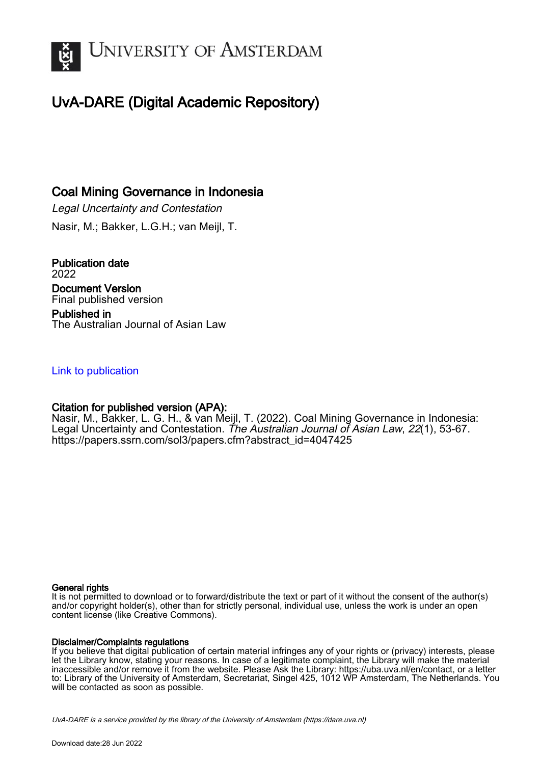

# UvA-DARE (Digital Academic Repository)

## Coal Mining Governance in Indonesia

Legal Uncertainty and Contestation Nasir, M.; Bakker, L.G.H.; van Meijl, T.

Publication date 2022 Document Version Final published version Published in The Australian Journal of Asian Law

## [Link to publication](https://dare.uva.nl/personal/pure/en/publications/coal-mining-governance-in-indonesia(dd42a2bb-91dd-4882-8a89-e2709577d73d).html)

## Citation for published version (APA):

Nasir, M., Bakker, L. G. H., & van Meijl, T. (2022). Coal Mining Governance in Indonesia: Legal Uncertainty and Contestation. The Australian Journal of Asian Law, 22(1), 53-67. [https://papers.ssrn.com/sol3/papers.cfm?abstract\\_id=4047425](https://papers.ssrn.com/sol3/papers.cfm?abstract_id=4047425)

#### General rights

It is not permitted to download or to forward/distribute the text or part of it without the consent of the author(s) and/or copyright holder(s), other than for strictly personal, individual use, unless the work is under an open content license (like Creative Commons).

#### Disclaimer/Complaints regulations

If you believe that digital publication of certain material infringes any of your rights or (privacy) interests, please let the Library know, stating your reasons. In case of a legitimate complaint, the Library will make the material inaccessible and/or remove it from the website. Please Ask the Library: https://uba.uva.nl/en/contact, or a letter to: Library of the University of Amsterdam, Secretariat, Singel 425, 1012 WP Amsterdam, The Netherlands. You will be contacted as soon as possible.

UvA-DARE is a service provided by the library of the University of Amsterdam (http*s*://dare.uva.nl)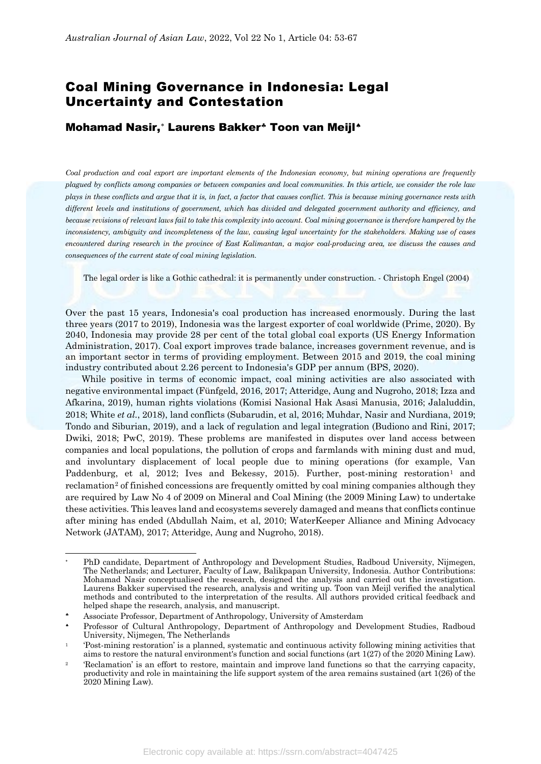## Coal Mining Governance in Indonesia: Legal Uncertainty and Contestation

### Mohamad Nasir,[∗](#page-1-0) Laurens Bakker[♣](#page-1-1) Toon van Meijl[♠](#page-1-2)

*Coal production and coal export are important elements of the Indonesian economy, but mining operations are frequently plagued by conflicts among companies or between companies and local communities. In this article, we consider the role law plays in these conflicts and argue that it is, in fact, a factor that causes conflict. This is because mining governance rests with different levels and institutions of government, which has divided and delegated government authority and efficiency, and because revisions of relevant laws fail to take this complexity into account. Coal mining governance is therefore hampered by the inconsistency, ambiguity and incompleteness of the law, causing legal uncertainty for the stakeholders. Making use of cases encountered during research in the province of East Kalimantan, a major coal-producing area, we discuss the causes and consequences of the current state of coal mining legislation.* 

The legal order is like a Gothic cathedral: it is permanently under construction. - Christoph Engel (2004)

Over the past 15 years, Indonesia's coal production has increased enormously. During the last three years (2017 to 2019), Indonesia was the largest exporter of coal worldwide (Prime, 2020). By 2040, Indonesia may provide 28 per cent of the total global coal exports (US Energy Information Administration, 2017). Coal export improves trade balance, increases government revenue, and is an important sector in terms of providing employment. Between 2015 and 2019, the coal mining industry contributed about 2.26 percent to Indonesia's GDP per annum (BPS, 2020).

While positive in terms of economic impact, coal mining activities are also associated with negative environmental impact (Fünfgeld, 2016, 2017; Atteridge, Aung and Nugroho, 2018; Izza and Afkarina, 2019), human rights violations (Komisi Nasional Hak Asasi Manusia, 2016; Jalaluddin, 2018; White *et al.*, 2018), land conflicts (Subarudin, et al, 2016; Muhdar, Nasir and Nurdiana, 2019; Tondo and Siburian, 2019), and a lack of regulation and legal integration (Budiono and Rini, 2017; Dwiki, 2018; PwC, 2019). These problems are manifested in disputes over land access between companies and local populations, the pollution of crops and farmlands with mining dust and mud, and involuntary displacement of local people due to mining operations (for example, Van Paddenburg, et al,  $2012$  $2012$  $2012$ ; Ives and Bekessy,  $2015$ ). Further, post-mining restoration<sup>1</sup> and reclamation<sup>[2](#page-1-4)</sup> of finished concessions are frequently omitted by coal mining companies although they are required by Law No 4 of 2009 on Mineral and Coal Mining (the 2009 Mining Law) to undertake these activities. This leaves land and ecosystems severely damaged and means that conflicts continue after mining has ended (Abdullah Naim, et al, 2010; WaterKeeper Alliance and Mining Advocacy Network (JATAM), 2017; Atteridge, Aung and Nugroho, 2018).

<span id="page-1-0"></span><sup>&</sup>lt;u>.</u> PhD candidate, Department of Anthropology and Development Studies, Radboud University, Nijmegen, The Netherlands; and Lecturer, Faculty of Law, Balikpapan University, Indonesia. Author Contributions: Mohamad Nasir conceptualised the research, designed the analysis and carried out the investigation. Laurens Bakker supervised the research, analysis and writing up. Toon van Meijl verified the analytical methods and contributed to the interpretation of the results. All authors provided critical feedback and helped shape the research, analysis, and manuscript.

<sup>♣</sup> Associate Professor, Department of Anthropology, University of Amsterdam

<span id="page-1-2"></span><span id="page-1-1"></span><sup>♠</sup> Professor of Cultural Anthropology, Department of Anthropology and Development Studies, Radboud University, Nijmegen, The Netherlands

<span id="page-1-3"></span><sup>1</sup> 'Post-mining restoration' is a planned, systematic and continuous activity following mining activities that aims to restore the natural environment's function and social functions (art 1(27) of the 2020 Mining Law).

<span id="page-1-4"></span><sup>&</sup>lt;sup>2</sup> 'Reclamation' is an effort to restore, maintain and improve land functions so that the carrying capacity, productivity and role in maintaining the life support system of the area remains sustained (art 1(26) of the 2020 Mining Law).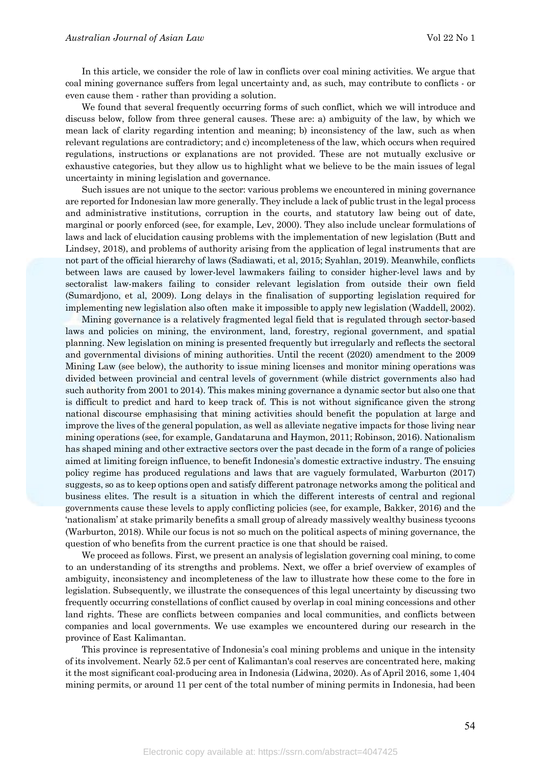In this article, we consider the role of law in conflicts over coal mining activities. We argue that coal mining governance suffers from legal uncertainty and, as such, may contribute to conflicts - or even cause them - rather than providing a solution.

We found that several frequently occurring forms of such conflict, which we will introduce and discuss below, follow from three general causes. These are: a) ambiguity of the law, by which we mean lack of clarity regarding intention and meaning; b) inconsistency of the law, such as when relevant regulations are contradictory; and c) incompleteness of the law, which occurs when required regulations, instructions or explanations are not provided. These are not mutually exclusive or exhaustive categories, but they allow us to highlight what we believe to be the main issues of legal uncertainty in mining legislation and governance.

Such issues are not unique to the sector: various problems we encountered in mining governance are reported for Indonesian law more generally. They include a lack of public trust in the legal process and administrative institutions, corruption in the courts, and statutory law being out of date, marginal or poorly enforced (see, for example, Lev, 2000). They also include unclear formulations of laws and lack of elucidation causing problems with the implementation of new legislation (Butt and Lindsey, 2018), and problems of authority arising from the application of legal instruments that are not part of the official hierarchy of laws (Sadiawati, et al, 2015; Syahlan, 2019). Meanwhile, conflicts between laws are caused by lower-level lawmakers failing to consider higher-level laws and by sectoralist law-makers failing to consider relevant legislation from outside their own field (Sumardjono, et al, 2009). Long delays in the finalisation of supporting legislation required for implementing new legislation also often make it impossible to apply new legislation (Waddell, 2002).

Mining governance is a relatively fragmented legal field that is regulated through sector-based laws and policies on mining, the environment, land, forestry, regional government, and spatial planning. New legislation on mining is presented frequently but irregularly and reflects the sectoral and governmental divisions of mining authorities. Until the recent (2020) amendment to the 2009 Mining Law (see below), the authority to issue mining licenses and monitor mining operations was divided between provincial and central levels of government (while district governments also had such authority from 2001 to 2014). This makes mining governance a dynamic sector but also one that is difficult to predict and hard to keep track of. This is not without significance given the strong national discourse emphasising that mining activities should benefit the population at large and improve the lives of the general population, as well as alleviate negative impacts for those living near mining operations (see, for example, Gandataruna and Haymon, 2011; Robinson, 2016). Nationalism has shaped mining and other extractive sectors over the past decade in the form of a range of policies aimed at limiting foreign influence, to benefit Indonesia's domestic extractive industry. The ensuing policy regime has produced regulations and laws that are vaguely formulated, Warburton (2017) suggests, so as to keep options open and satisfy different patronage networks among the political and business elites. The result is a situation in which the different interests of central and regional governments cause these levels to apply conflicting policies (see, for example, Bakker, 2016) and the 'nationalism' at stake primarily benefits a small group of already massively wealthy business tycoons (Warburton, 2018). While our focus is not so much on the political aspects of mining governance, the question of who benefits from the current practice is one that should be raised.

We proceed as follows. First, we present an analysis of legislation governing coal mining, to come to an understanding of its strengths and problems. Next, we offer a brief overview of examples of ambiguity, inconsistency and incompleteness of the law to illustrate how these come to the fore in legislation. Subsequently, we illustrate the consequences of this legal uncertainty by discussing two frequently occurring constellations of conflict caused by overlap in coal mining concessions and other land rights. These are conflicts between companies and local communities, and conflicts between companies and local governments. We use examples we encountered during our research in the province of East Kalimantan.

This province is representative of Indonesia's coal mining problems and unique in the intensity of its involvement. Nearly 52.5 per cent of Kalimantan's coal reserves are concentrated here, making it the most significant coal-producing area in Indonesia (Lidwina, 2020). As of April 2016, some 1,404 mining permits, or around 11 per cent of the total number of mining permits in Indonesia, had been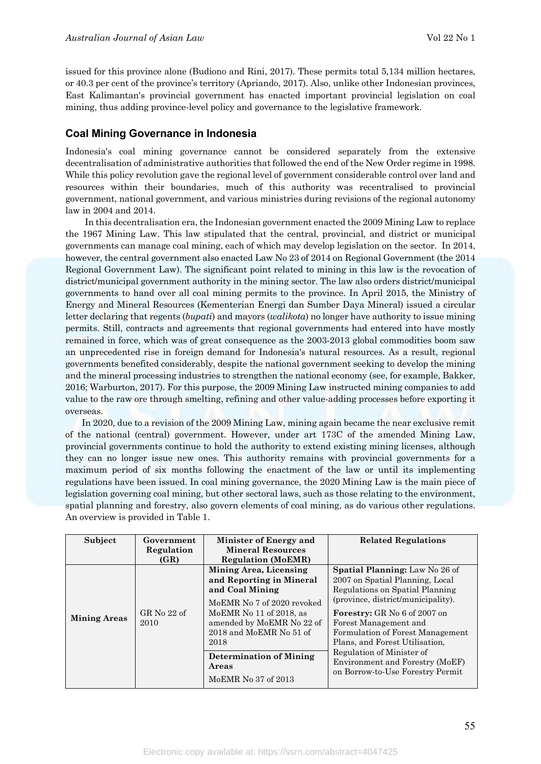issued for this province alone (Budiono and Rini, 2017). These permits total 5,134 million hectares, or 40.3 per cent of the province's territory (Apriando, 2017). Also, unlike other Indonesian provinces, East Kalimantan's provincial government has enacted important provincial legislation on coal mining, thus adding province-level policy and governance to the legislative framework.

#### **Coal Mining Governance in Indonesia**

Indonesia's coal mining governance cannot be considered separately from the extensive decentralisation of administrative authorities that followed the end of the New Order regime in 1998. While this policy revolution gave the regional level of government considerable control over land and resources within their boundaries, much of this authority was recentralised to provincial government, national government, and various ministries during revisions of the regional autonomy law in 2004 and 2014.

In this decentralisation era, the Indonesian government enacted the 2009 Mining Law to replace the 1967 Mining Law. This law stipulated that the central, provincial, and district or municipal governments can manage coal mining, each of which may develop legislation on the sector. In 2014, however, the central government also enacted Law No 23 of 2014 on Regional Government (the 2014 Regional Government Law). The significant point related to mining in this law is the revocation of district/municipal government authority in the mining sector. The law also orders district/municipal governments to hand over all coal mining permits to the province. In April 2015, the Ministry of Energy and Mineral Resources (Kementerian Energi dan Sumber Daya Mineral) issued a circular letter declaring that regents (*bupati*) and mayors (*walikota*) no longer have authority to issue mining permits. Still, contracts and agreements that regional governments had entered into have mostly remained in force, which was of great consequence as the 2003-2013 global commodities boom saw an unprecedented rise in foreign demand for Indonesia's natural resources. As a result, regional governments benefited considerably, despite the national government seeking to develop the mining and the mineral processing industries to strengthen the national economy (see, for example, Bakker, 2016; Warburton, 2017). For this purpose, the 2009 Mining Law instructed mining companies to add value to the raw ore through smelting, refining and other value-adding processes before exporting it overseas.

In 2020, due to a revision of the 2009 Mining Law, mining again became the near exclusive remit of the national (central) government. However, under art 173C of the amended Mining Law, provincial governments continue to hold the authority to extend existing mining licenses, although they can no longer issue new ones. This authority remains with provincial governments for a maximum period of six months following the enactment of the law or until its implementing regulations have been issued. In coal mining governance, the 2020 Mining Law is the main piece of legislation governing coal mining, but other sectoral laws, such as those relating to the environment, spatial planning and forestry, also govern elements of coal mining, as do various other regulations. An overview is provided in Table 1.

| Subject             | Government            | Minister of Energy and                               | <b>Related Regulations</b>                                          |
|---------------------|-----------------------|------------------------------------------------------|---------------------------------------------------------------------|
|                     | Regulation            | <b>Mineral Resources</b>                             |                                                                     |
|                     | (GR)                  | <b>Regulation (MoEMR)</b>                            |                                                                     |
|                     |                       | Mining Area, Licensing                               | Spatial Planning: Law No 26 of                                      |
| <b>Mining Areas</b> | GR No $22$ of<br>2010 | and Reporting in Mineral<br>and Coal Mining          | 2007 on Spatial Planning, Local<br>Regulations on Spatial Planning  |
|                     |                       | MoEMR No 7 of 2020 revoked                           | (province, district/municipality).                                  |
|                     |                       | MoEMR No 11 of 2018, as<br>amended by MoEMR No 22 of | <b>Forestry:</b> GR No 6 of 2007 on<br>Forest Management and        |
|                     |                       | 2018 and MoEMR No 51 of<br>2018                      | Formulation of Forest Management<br>Plans, and Forest Utilisation.  |
|                     |                       |                                                      | Regulation of Minister of                                           |
|                     |                       | <b>Determination of Mining</b><br>Areas              | Environment and Forestry (MoEF)<br>on Borrow-to-Use Forestry Permit |
|                     |                       | MoEMR No 37 of 2013                                  |                                                                     |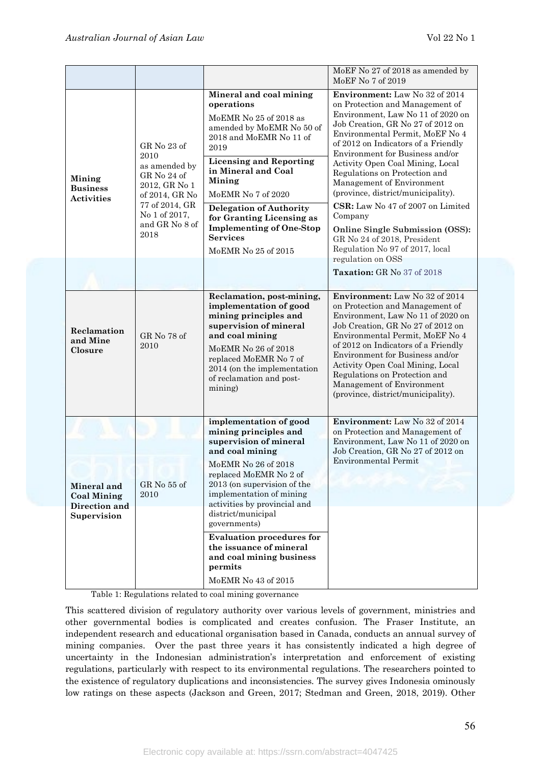|                                                                   |                                                                                                                                                     |                                                                                                                                                                                                                                                                                                                                                                      | MoEF No 27 of 2018 as amended by<br>MoEF No 7 of 2019                                                                                                                                                                                                                                                                                                                                                                                                                                                                                                        |
|-------------------------------------------------------------------|-----------------------------------------------------------------------------------------------------------------------------------------------------|----------------------------------------------------------------------------------------------------------------------------------------------------------------------------------------------------------------------------------------------------------------------------------------------------------------------------------------------------------------------|--------------------------------------------------------------------------------------------------------------------------------------------------------------------------------------------------------------------------------------------------------------------------------------------------------------------------------------------------------------------------------------------------------------------------------------------------------------------------------------------------------------------------------------------------------------|
| Mining<br><b>Business</b><br><b>Activities</b>                    | GR No 23 of<br>2010<br>as amended by<br>GR No 24 of<br>2012, GR No 1<br>of 2014, GR No<br>77 of 2014, GR<br>No 1 of 2017,<br>and GR No 8 of<br>2018 | Mineral and coal mining<br>operations<br>MoEMR No 25 of 2018 as<br>amended by MoEMR No 50 of<br>2018 and MoEMR No 11 of<br>2019<br><b>Licensing and Reporting</b><br>in Mineral and Coal<br>Mining<br>MoEMR No 7 of 2020<br><b>Delegation of Authority</b><br>for Granting Licensing as<br><b>Implementing of One-Stop</b><br><b>Services</b><br>MoEMR No 25 of 2015 | Environment: Law No 32 of 2014<br>on Protection and Management of<br>Environment, Law No 11 of 2020 on<br>Job Creation, GR No 27 of 2012 on<br>Environmental Permit, MoEF No 4<br>of 2012 on Indicators of a Friendly<br>Environment for Business and/or<br>Activity Open Coal Mining, Local<br>Regulations on Protection and<br>Management of Environment<br>(province, district/municipality).<br>CSR: Law No 47 of 2007 on Limited<br>Company<br><b>Online Single Submission (OSS):</b><br>GR No 24 of 2018, President<br>Regulation No 97 of 2017, local |
|                                                                   |                                                                                                                                                     |                                                                                                                                                                                                                                                                                                                                                                      | regulation on OSS<br>Taxation: GR No 37 of 2018                                                                                                                                                                                                                                                                                                                                                                                                                                                                                                              |
| Reclamation<br>and Mine<br>Closure                                | GR No 78 of<br>2010                                                                                                                                 | Reclamation, post-mining,<br>implementation of good<br>mining principles and<br>supervision of mineral<br>and coal mining<br>MoEMR No 26 of 2018<br>replaced MoEMR No 7 of<br>2014 (on the implementation<br>of reclamation and post-<br>mining)                                                                                                                     | Environment: Law No 32 of 2014<br>on Protection and Management of<br>Environment, Law No 11 of 2020 on<br>Job Creation, GR No 27 of 2012 on<br>Environmental Permit, MoEF No 4<br>of 2012 on Indicators of a Friendly<br>Environment for Business and/or<br>Activity Open Coal Mining, Local<br>Regulations on Protection and<br>Management of Environment<br>(province, district/municipality).                                                                                                                                                             |
| Mineral and<br><b>Coal Mining</b><br>Direction and<br>Supervision | $GR$ No 55 of<br>2010                                                                                                                               | implementation of good<br>mining principles and<br>supervision of mineral<br>and coal mining<br>MoEMR No 26 of 2018<br>replaced MoEMR No 2 of<br>2013 (on supervision of the<br>implementation of mining<br>activities by provincial and<br>district/municipal<br>governments)                                                                                       | <b>Environment: Law No 32 of 2014</b><br>on Protection and Management of<br>Environment, Law No 11 of 2020 on<br>Job Creation, GR No 27 of 2012 on<br><b>Environmental Permit</b>                                                                                                                                                                                                                                                                                                                                                                            |
|                                                                   |                                                                                                                                                     | <b>Evaluation procedures for</b><br>the issuance of mineral<br>and coal mining business<br>permits<br>MoEMR No 43 of 2015                                                                                                                                                                                                                                            |                                                                                                                                                                                                                                                                                                                                                                                                                                                                                                                                                              |

Table 1: Regulations related to coal mining governance

This scattered division of regulatory authority over various levels of government, ministries and other governmental bodies is complicated and creates confusion. The Fraser Institute, an independent research and educational organisation based in Canada, conducts an annual survey of mining companies. Over the past three years it has consistently indicated a high degree of uncertainty in the Indonesian administration's interpretation and enforcement of existing regulations, particularly with respect to its environmental regulations. The researchers pointed to the existence of regulatory duplications and inconsistencies. The survey gives Indonesia ominously low ratings on these aspects (Jackson and Green, 2017; Stedman and Green, 2018, 2019). Other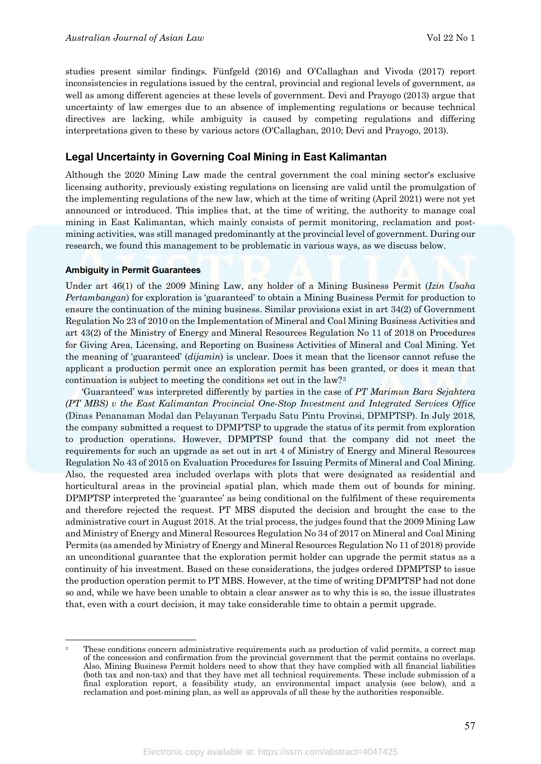studies present similar findings. Fünfgeld (2016) and O'Callaghan and Vivoda (2017) report inconsistencies in regulations issued by the central, provincial and regional levels of government, as well as among different agencies at these levels of government. Devi and Prayogo (2013) argue that uncertainty of law emerges due to an absence of implementing regulations or because technical directives are lacking, while ambiguity is caused by competing regulations and differing interpretations given to these by various actors (O'Callaghan, 2010; Devi and Prayogo, 2013).

#### **Legal Uncertainty in Governing Coal Mining in East Kalimantan**

Although the 2020 Mining Law made the central government the coal mining sector's exclusive licensing authority, previously existing regulations on licensing are valid until the promulgation of the implementing regulations of the new law, which at the time of writing (April 2021) were not yet announced or introduced. This implies that, at the time of writing, the authority to manage coal mining in East Kalimantan, which mainly consists of permit monitoring, reclamation and postmining activities, was still managed predominantly at the provincial level of government. During our research, we found this management to be problematic in various ways, as we discuss below.

#### **Ambiguity in Permit Guarantees**

<u>.</u>

Under art 46(1) of the 2009 Mining Law, any holder of a Mining Business Permit (*Izin Usaha Pertambangan*) for exploration is 'guaranteed' to obtain a Mining Business Permit for production to ensure the continuation of the mining business. Similar provisions exist in art 34(2) of Government Regulation No 23 of 2010 on the Implementation of Mineral and Coal Mining Business Activities and art 43(2) of the Ministry of Energy and Mineral Resources Regulation No 11 of 2018 on Procedures for Giving Area, Licensing, and Reporting on Business Activities of Mineral and Coal Mining. Yet the meaning of 'guaranteed' (*dijamin*) is unclear. Does it mean that the licensor cannot refuse the applicant a production permit once an exploration permit has been granted, or does it mean that continuation is subject to meeting the conditions set out in the law?[3](#page-5-0)

'Guaranteed' was interpreted differently by parties in the case of *PT Marimun Bara Sejahtera (PT MBS) v the East Kalimantan Provincial One-Stop Investment and Integrated Services Office* (Dinas Penanaman Modal dan Pelayanan Terpadu Satu Pintu Provinsi, DPMPTSP). In July 2018, the company submitted a request to DPMPTSP to upgrade the status of its permit from exploration to production operations. However, DPMPTSP found that the company did not meet the requirements for such an upgrade as set out in art 4 of Ministry of Energy and Mineral Resources Regulation No 43 of 2015 on Evaluation Procedures for Issuing Permits of Mineral and Coal Mining. Also, the requested area included overlaps with plots that were designated as residential and horticultural areas in the provincial spatial plan, which made them out of bounds for mining. DPMPTSP interpreted the 'guarantee' as being conditional on the fulfilment of these requirements and therefore rejected the request. PT MBS disputed the decision and brought the case to the administrative court in August 2018. At the trial process, the judges found that the 2009 Mining Law and Ministry of Energy and Mineral Resources Regulation No 34 of 2017 on Mineral and Coal Mining Permits (as amended by Ministry of Energy and Mineral Resources Regulation No 11 of 2018) provide an unconditional guarantee that the exploration permit holder can upgrade the permit status as a continuity of his investment. Based on these considerations, the judges ordered DPMPTSP to issue the production operation permit to PT MBS. However, at the time of writing DPMPTSP had not done so and, while we have been unable to obtain a clear answer as to why this is so, the issue illustrates that, even with a court decision, it may take considerable time to obtain a permit upgrade.

<span id="page-5-0"></span>These conditions concern administrative requirements such as production of valid permits, a correct map of the concession and confirmation from the provincial government that the permit contains no overlaps. Also, Mining Business Permit holders need to show that they have complied with all financial liabilities (both tax and non-tax) and that they have met all technical requirements. These include submission of a final exploration report, a feasibility study, an environmental impact analysis (see below), and a reclamation and post-mining plan, as well as approvals of all these by the authorities responsible.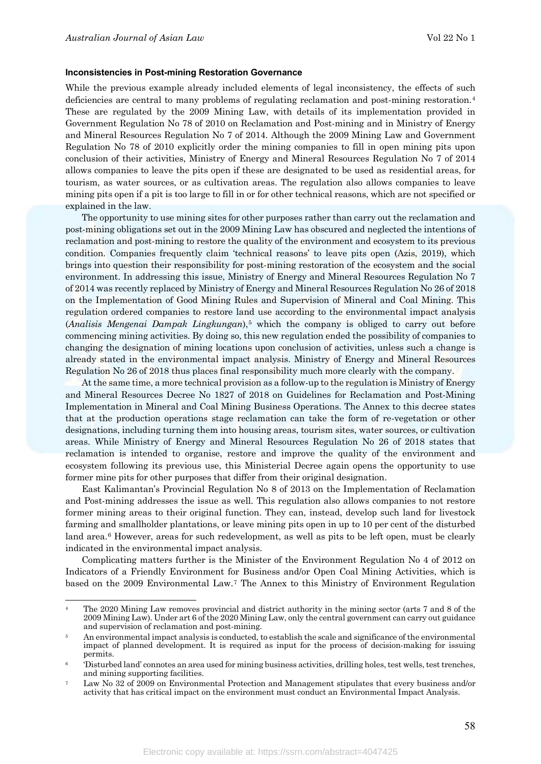-

#### **Inconsistencies in Post-mining Restoration Governance**

While the previous example already included elements of legal inconsistency, the effects of such deficiencies are central to many problems of regulating reclamation and post-mining restoration.[4](#page-6-0) These are regulated by the 2009 Mining Law, with details of its implementation provided in Government Regulation No 78 of 2010 on Reclamation and Post-mining and in Ministry of Energy and Mineral Resources Regulation No 7 of 2014. Although the 2009 Mining Law and Government Regulation No 78 of 2010 explicitly order the mining companies to fill in open mining pits upon conclusion of their activities, Ministry of Energy and Mineral Resources Regulation No 7 of 2014 allows companies to leave the pits open if these are designated to be used as residential areas, for tourism, as water sources, or as cultivation areas. The regulation also allows companies to leave mining pits open if a pit is too large to fill in or for other technical reasons, which are not specified or explained in the law.

The opportunity to use mining sites for other purposes rather than carry out the reclamation and post-mining obligations set out in the 2009 Mining Law has obscured and neglected the intentions of reclamation and post-mining to restore the quality of the environment and ecosystem to its previous condition. Companies frequently claim 'technical reasons' to leave pits open (Azis, 2019), which brings into question their responsibility for post-mining restoration of the ecosystem and the social environment. In addressing this issue, Ministry of Energy and Mineral Resources Regulation No 7 of 2014 was recently replaced by Ministry of Energy and Mineral Resources Regulation No 26 of 2018 on the Implementation of Good Mining Rules and Supervision of Mineral and Coal Mining. This regulation ordered companies to restore land use according to the environmental impact analysis (*Analisis Mengenai Dampak Lingkungan*),[5](#page-6-1) which the company is obliged to carry out before commencing mining activities. By doing so, this new regulation ended the possibility of companies to changing the designation of mining locations upon conclusion of activities, unless such a change is already stated in the environmental impact analysis. Ministry of Energy and Mineral Resources Regulation No 26 of 2018 thus places final responsibility much more clearly with the company.

At the same time, a more technical provision as a follow-up to the regulation is Ministry of Energy and Mineral Resources Decree No 1827 of 2018 on Guidelines for Reclamation and Post-Mining Implementation in Mineral and Coal Mining Business Operations. The Annex to this decree states that at the production operations stage reclamation can take the form of re-vegetation or other designations, including turning them into housing areas, tourism sites, water sources, or cultivation areas. While Ministry of Energy and Mineral Resources Regulation No 26 of 2018 states that reclamation is intended to organise, restore and improve the quality of the environment and ecosystem following its previous use, this Ministerial Decree again opens the opportunity to use former mine pits for other purposes that differ from their original designation.

East Kalimantan's Provincial Regulation No 8 of 2013 on the Implementation of Reclamation and Post-mining addresses the issue as well. This regulation also allows companies to not restore former mining areas to their original function. They can, instead, develop such land for livestock farming and smallholder plantations, or leave mining pits open in up to 10 per cent of the disturbed land area.<sup>[6](#page-6-2)</sup> However, areas for such redevelopment, as well as pits to be left open, must be clearly indicated in the environmental impact analysis.

Complicating matters further is the Minister of the Environment Regulation No 4 of 2012 on Indicators of a Friendly Environment for Business and/or Open Coal Mining Activities, which is based on the 2009 Environmental Law.[7](#page-6-3) The Annex to this Ministry of Environment Regulation

<span id="page-6-0"></span>The 2020 Mining Law removes provincial and district authority in the mining sector (arts 7 and 8 of the 2009 Mining Law). Under art 6 of the 2020 Mining Law, only the central government can carry out guidance and supervision of reclamation and post-mining.

<span id="page-6-1"></span><sup>5</sup> An environmental impact analysis is conducted, to establish the scale and significance of the environmental impact of planned development. It is required as input for the process of decision-making for issuing permits.

<span id="page-6-2"></span><sup>6</sup> 'Disturbed land' connotes an area used for mining business activities, drilling holes, test wells, test trenches, and mining supporting facilities.

<span id="page-6-3"></span><sup>7</sup> Law No 32 of 2009 on Environmental Protection and Management stipulates that every business and/or activity that has critical impact on the environment must conduct an Environmental Impact Analysis.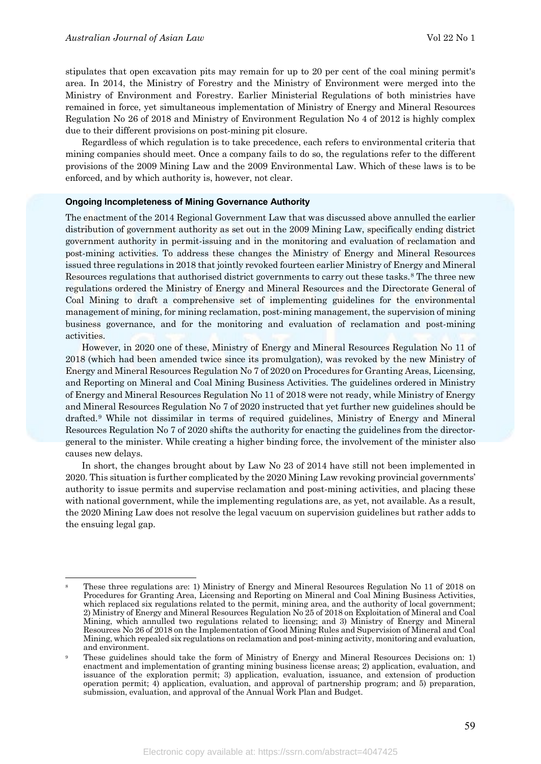stipulates that open excavation pits may remain for up to 20 per cent of the coal mining permit's area. In 2014, the Ministry of Forestry and the Ministry of Environment were merged into the Ministry of Environment and Forestry. Earlier Ministerial Regulations of both ministries have remained in force, yet simultaneous implementation of Ministry of Energy and Mineral Resources Regulation No 26 of 2018 and Ministry of Environment Regulation No 4 of 2012 is highly complex due to their different provisions on post-mining pit closure.

Regardless of which regulation is to take precedence, each refers to environmental criteria that mining companies should meet. Once a company fails to do so, the regulations refer to the different provisions of the 2009 Mining Law and the 2009 Environmental Law. Which of these laws is to be enforced, and by which authority is, however, not clear.

#### **Ongoing Incompleteness of Mining Governance Authority**

The enactment of the 2014 Regional Government Law that was discussed above annulled the earlier distribution of government authority as set out in the 2009 Mining Law, specifically ending district government authority in permit-issuing and in the monitoring and evaluation of reclamation and post-mining activities. To address these changes the Ministry of Energy and Mineral Resources issued three regulations in 2018 that jointly revoked fourteen earlier Ministry of Energy and Mineral Resources regulations that authorised district governments to carry out these tasks.<sup>[8](#page-7-0)</sup> The three new regulations ordered the Ministry of Energy and Mineral Resources and the Directorate General of Coal Mining to draft a comprehensive set of implementing guidelines for the environmental management of mining, for mining reclamation, post-mining management, the supervision of mining business governance, and for the monitoring and evaluation of reclamation and post-mining activities.

However, in 2020 one of these, Ministry of Energy and Mineral Resources Regulation No 11 of 2018 (which had been amended twice since its promulgation), was revoked by the new Ministry of Energy and Mineral Resources Regulation No 7 of 2020 on Procedures for Granting Areas, Licensing, and Reporting on Mineral and Coal Mining Business Activities. The guidelines ordered in Ministry of Energy and Mineral Resources Regulation No 11 of 2018 were not ready, while Ministry of Energy and Mineral Resources Regulation No 7 of 2020 instructed that yet further new guidelines should be drafted.[9](#page-7-1) While not dissimilar in terms of required guidelines, Ministry of Energy and Mineral Resources Regulation No 7 of 2020 shifts the authority for enacting the guidelines from the directorgeneral to the minister. While creating a higher binding force, the involvement of the minister also causes new delays.

In short, the changes brought about by Law No 23 of 2014 have still not been implemented in 2020. This situation is further complicated by the 2020 Mining Law revoking provincial governments' authority to issue permits and supervise reclamation and post-mining activities, and placing these with national government, while the implementing regulations are, as yet, not available. As a result, the 2020 Mining Law does not resolve the legal vacuum on supervision guidelines but rather adds to the ensuing legal gap.

<span id="page-7-0"></span><sup>&</sup>lt;u>.</u> <sup>8</sup> These three regulations are: 1) Ministry of Energy and Mineral Resources Regulation No 11 of 2018 on Procedures for Granting Area, Licensing and Reporting on Mineral and Coal Mining Business Activities, which replaced six regulations related to the permit, mining area, and the authority of local government; 2) Ministry of Energy and Mineral Resources Regulation No 25 of 2018 on Exploitation of Mineral and Coal Mining, which annulled two regulations related to licensing; and 3) Ministry of Energy and Mineral Resources No 26 of 2018 on the Implementation of Good Mining Rules and Supervision of Mineral and Coal Mining, which repealed six regulations on reclamation and post-mining activity, monitoring and evaluation, and environment.

<span id="page-7-1"></span><sup>9</sup> These guidelines should take the form of Ministry of Energy and Mineral Resources Decisions on: 1) enactment and implementation of granting mining business license areas; 2) application, evaluation, and issuance of the exploration permit; 3) application, evaluation, issuance, and extension of production operation permit; 4) application, evaluation, and approval of partnership program; and 5) preparation, submission, evaluation, and approval of the Annual Work Plan and Budget.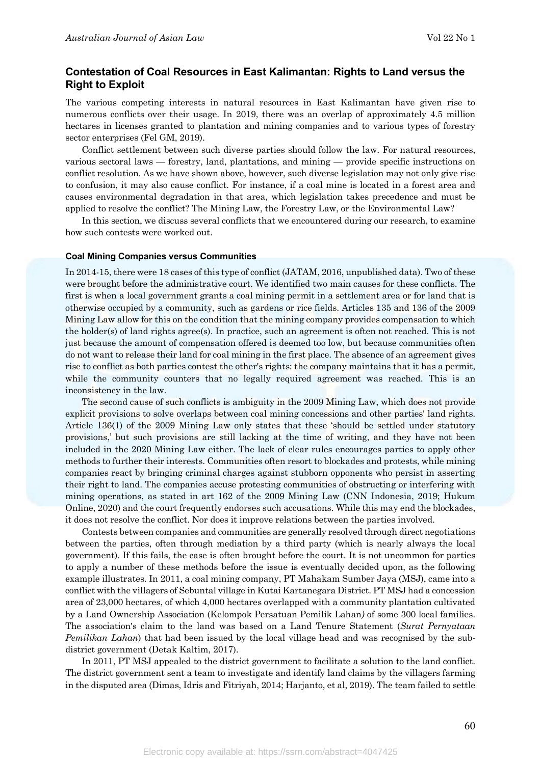## **Contestation of Coal Resources in East Kalimantan: Rights to Land versus the Right to Exploit**

The various competing interests in natural resources in East Kalimantan have given rise to numerous conflicts over their usage. In 2019, there was an overlap of approximately 4.5 million hectares in licenses granted to plantation and mining companies and to various types of forestry sector enterprises (Fel GM, 2019).

Conflict settlement between such diverse parties should follow the law. For natural resources, various sectoral laws — forestry, land, plantations, and mining — provide specific instructions on conflict resolution. As we have shown above, however, such diverse legislation may not only give rise to confusion, it may also cause conflict. For instance, if a coal mine is located in a forest area and causes environmental degradation in that area, which legislation takes precedence and must be applied to resolve the conflict? The Mining Law, the Forestry Law, or the Environmental Law?

In this section, we discuss several conflicts that we encountered during our research, to examine how such contests were worked out.

#### **Coal Mining Companies versus Communities**

In 2014-15, there were 18 cases of this type of conflict (JATAM, 2016, unpublished data). Two of these were brought before the administrative court. We identified two main causes for these conflicts. The first is when a local government grants a coal mining permit in a settlement area or for land that is otherwise occupied by a community, such as gardens or rice fields. Articles 135 and 136 of the 2009 Mining Law allow for this on the condition that the mining company provides compensation to which the holder(s) of land rights agree(s). In practice, such an agreement is often not reached. This is not just because the amount of compensation offered is deemed too low, but because communities often do not want to release their land for coal mining in the first place. The absence of an agreement gives rise to conflict as both parties contest the other's rights: the company maintains that it has a permit, while the community counters that no legally required agreement was reached. This is an inconsistency in the law.

The second cause of such conflicts is ambiguity in the 2009 Mining Law, which does not provide explicit provisions to solve overlaps between coal mining concessions and other parties' land rights. Article 136(1) of the 2009 Mining Law only states that these 'should be settled under statutory provisions,' but such provisions are still lacking at the time of writing, and they have not been included in the 2020 Mining Law either. The lack of clear rules encourages parties to apply other methods to further their interests. Communities often resort to blockades and protests, while mining companies react by bringing criminal charges against stubborn opponents who persist in asserting their right to land. The companies accuse protesting communities of obstructing or interfering with mining operations, as stated in art 162 of the 2009 Mining Law (CNN Indonesia, 2019; Hukum Online, 2020) and the court frequently endorses such accusations. While this may end the blockades, it does not resolve the conflict. Nor does it improve relations between the parties involved.

Contests between companies and communities are generally resolved through direct negotiations between the parties, often through mediation by a third party (which is nearly always the local government). If this fails, the case is often brought before the court. It is not uncommon for parties to apply a number of these methods before the issue is eventually decided upon, as the following example illustrates. In 2011, a coal mining company, PT Mahakam Sumber Jaya (MSJ), came into a conflict with the villagers of Sebuntal village in Kutai Kartanegara District. PT MSJ had a concession area of 23,000 hectares, of which 4,000 hectares overlapped with a community plantation cultivated by a Land Ownership Association (Kelompok Persatuan Pemilik Lahan*)* of some 300 local families. The association's claim to the land was based on a Land Tenure Statement (*Surat Pernyataan Pemilikan Lahan*) that had been issued by the local village head and was recognised by the subdistrict government (Detak Kaltim, 2017).

In 2011, PT MSJ appealed to the district government to facilitate a solution to the land conflict. The district government sent a team to investigate and identify land claims by the villagers farming in the disputed area (Dimas, Idris and Fitriyah, 2014; Harjanto, et al, 2019). The team failed to settle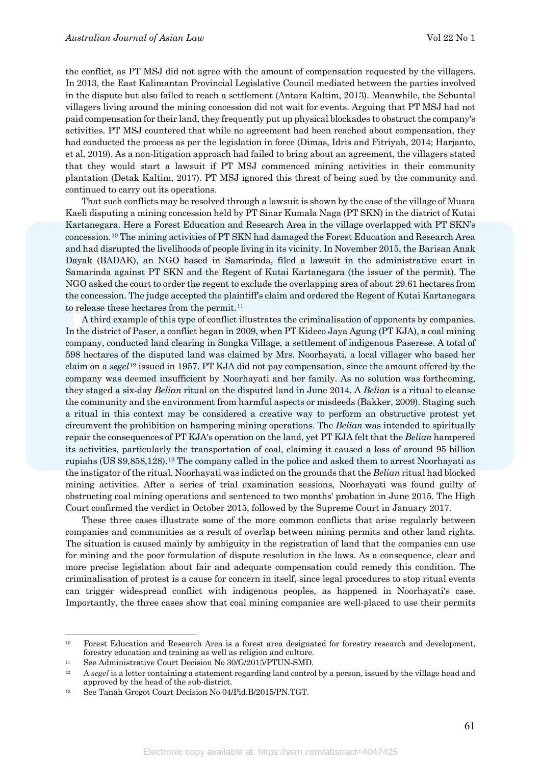the conflict, as PT MSJ did not agree with the amount of compensation requested by the villagers. In 2013, the East Kalimantan Provincial Legislative Council mediated between the parties involved in the dispute but also failed to reach a settlement (Antara Kaltim, 2013). Meanwhile, the Sebuntal villagers living around the mining concession did not wait for events. Arguing that PT MSJ had not paid compensation for their land, they frequently put up physical blockades to obstruct the company's activities. PT MSJ countered that while no agreement had been reached about compensation, they had conducted the process as per the legislation in force (Dimas, Idris and Fitriyah, 2014; Harjanto, et al, 2019). As a non-litigation approach had failed to bring about an agreement, the villagers stated that they would start a lawsuit if PT MSJ commenced mining activities in their community plantation (Detak Kaltim, 2017). PT MSJ ignored this threat of being sued by the community and continued to carry out its operations.

That such conflicts may be resolved through a lawsuit is shown by the case of the village of Muara Kaeli disputing a mining concession held by PT Sinar Kumala Naga (PT SKN) in the district of Kutai Kartanegara. Here a Forest Education and Research Area in the village overlapped with PT SKN's concession.[10](#page-9-0) The mining activities of PT SKN had damaged the Forest Education and Research Area and had disrupted the livelihoods of people living in its vicinity. In November 2015, the Barisan Anak Dayak (BADAK), an NGO based in Samarinda, filed a lawsuit in the administrative court in Samarinda against PT SKN and the Regent of Kutai Kartanegara (the issuer of the permit). The NGO asked the court to order the regent to exclude the overlapping area of about 29.61 hectares from the concession. The judge accepted the plaintiff's claim and ordered the Regent of Kutai Kartanegara to release these hectares from the permit.<sup>[11](#page-9-1)</sup>

A third example of this type of conflict illustrates the criminalisation of opponents by companies. In the district of Paser, a conflict began in 2009, when PT Kideco Jaya Agung (PT KJA), a coal mining company, conducted land clearing in Songka Village, a settlement of indigenous Paserese. A total of 598 hectares of the disputed land was claimed by Mrs. Noorhayati, a local villager who based her claim on a *segel*[12](#page-9-2) issued in 1957. PT KJA did not pay compensation, since the amount offered by the company was deemed insufficient by Noorhayati and her family. As no solution was forthcoming, they staged a six-day *Belian* ritual on the disputed land in June 2014. A *Belian* is a ritual to cleanse the community and the environment from harmful aspects or misdeeds (Bakker, 2009). Staging such a ritual in this context may be considered a creative way to perform an obstructive protest yet circumvent the prohibition on hampering mining operations. The *Belian* was intended to spiritually repair the consequences of PT KJA's operation on the land, yet PT KJA felt that the *Belian* hampered its activities, particularly the transportation of coal, claiming it caused a loss of around 95 billion rupiahs (US \$9,858,128).[13](#page-9-3) The company called in the police and asked them to arrest Noorhayati as the instigator of the ritual. Noorhayati was indicted on the grounds that the *Belian* ritual had blocked mining activities. After a series of trial examination sessions, Noorhayati was found guilty of obstructing coal mining operations and sentenced to two months' probation in June 2015. The High Court confirmed the verdict in October 2015, followed by the Supreme Court in January 2017.

These three cases illustrate some of the more common conflicts that arise regularly between companies and communities as a result of overlap between mining permits and other land rights. The situation is caused mainly by ambiguity in the registration of land that the companies can use for mining and the poor formulation of dispute resolution in the laws. As a consequence, clear and more precise legislation about fair and adequate compensation could remedy this condition. The criminalisation of protest is a cause for concern in itself, since legal procedures to stop ritual events can trigger widespread conflict with indigenous peoples, as happened in Noorhayati's case. Importantly, the three cases show that coal mining companies are well-placed to use their permits

<u>.</u>

<span id="page-9-0"></span><sup>&</sup>lt;sup>10</sup> Forest Education and Research Area is a forest area designated for forestry research and development, forestry education and training as well as religion and culture.

<span id="page-9-1"></span><sup>&</sup>lt;sup>11</sup> See Administrative Court Decision No 30/G/2015/PTUN-SMD.

<span id="page-9-2"></span><sup>&</sup>lt;sup>12</sup> A *segel* is a letter containing a statement regarding land control by a person, issued by the village head and approved by the head of the sub-district.

<span id="page-9-3"></span><sup>13</sup> See Tanah Grogot Court Decision No 04/Pid.B/2015/PN.TGT.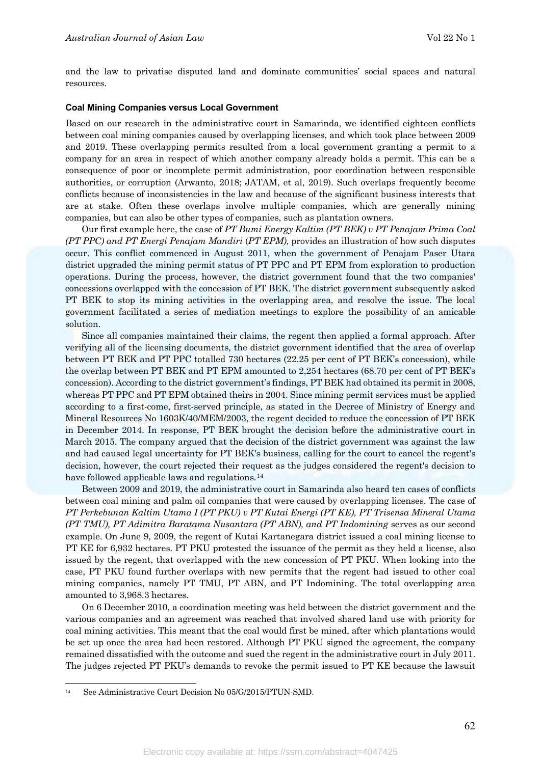and the law to privatise disputed land and dominate communities' social spaces and natural resources.

#### **Coal Mining Companies versus Local Government**

Based on our research in the administrative court in Samarinda, we identified eighteen conflicts between coal mining companies caused by overlapping licenses, and which took place between 2009 and 2019. These overlapping permits resulted from a local government granting a permit to a company for an area in respect of which another company already holds a permit. This can be a consequence of poor or incomplete permit administration, poor coordination between responsible authorities, or corruption (Arwanto, 2018; JATAM, et al, 2019). Such overlaps frequently become conflicts because of inconsistencies in the law and because of the significant business interests that are at stake. Often these overlaps involve multiple companies, which are generally mining companies, but can also be other types of companies, such as plantation owners.

Our first example here, the case of *PT Bumi Energy Kaltim (PT BEK) v PT Penajam Prima Coal (PT PPC) and PT Energi Penajam Mandiri* (*PT EPM),* provides an illustration of how such disputes occur. This conflict commenced in August 2011, when the government of Penajam Paser Utara district upgraded the mining permit status of PT PPC and PT EPM from exploration to production operations. During the process, however, the district government found that the two companies' concessions overlapped with the concession of PT BEK. The district government subsequently asked PT BEK to stop its mining activities in the overlapping area, and resolve the issue. The local government facilitated a series of mediation meetings to explore the possibility of an amicable solution.

Since all companies maintained their claims, the regent then applied a formal approach. After verifying all of the licensing documents, the district government identified that the area of overlap between PT BEK and PT PPC totalled 730 hectares (22.25 per cent of PT BEK's concession), while the overlap between PT BEK and PT EPM amounted to 2,254 hectares (68.70 per cent of PT BEK's concession). According to the district government's findings, PT BEK had obtained its permit in 2008, whereas PT PPC and PT EPM obtained theirs in 2004. Since mining permit services must be applied according to a first-come, first-served principle, as stated in the Decree of Ministry of Energy and Mineral Resources No 1603K/40/MEM/2003, the regent decided to reduce the concession of PT BEK in December 2014. In response, PT BEK brought the decision before the administrative court in March 2015. The company argued that the decision of the district government was against the law and had caused legal uncertainty for PT BEK's business, calling for the court to cancel the regent's decision, however, the court rejected their request as the judges considered the regent's decision to have followed applicable laws and regulations.<sup>[14](#page-10-0)</sup>

Between 2009 and 2019, the administrative court in Samarinda also heard ten cases of conflicts between coal mining and palm oil companies that were caused by overlapping licenses. The case of *PT Perkebunan Kaltim Utama I (PT PKU) v PT Kutai Energi (PT KE), PT Trisensa Mineral Utama (PT TMU), PT Adimitra Baratama Nusantara (PT ABN), and PT Indomining* serves as our second example. On June 9, 2009, the regent of Kutai Kartanegara district issued a coal mining license to PT KE for 6,932 hectares. PT PKU protested the issuance of the permit as they held a license, also issued by the regent, that overlapped with the new concession of PT PKU. When looking into the case, PT PKU found further overlaps with new permits that the regent had issued to other coal mining companies, namely PT TMU, PT ABN, and PT Indomining. The total overlapping area amounted to 3,968.3 hectares.

On 6 December 2010, a coordination meeting was held between the district government and the various companies and an agreement was reached that involved shared land use with priority for coal mining activities. This meant that the coal would first be mined, after which plantations would be set up once the area had been restored. Although PT PKU signed the agreement, the company remained dissatisfied with the outcome and sued the regent in the administrative court in July 2011. The judges rejected PT PKU's demands to revoke the permit issued to PT KE because the lawsuit

<u>.</u>

<span id="page-10-0"></span><sup>14</sup> See Administrative Court Decision No 05/G/2015/PTUN-SMD.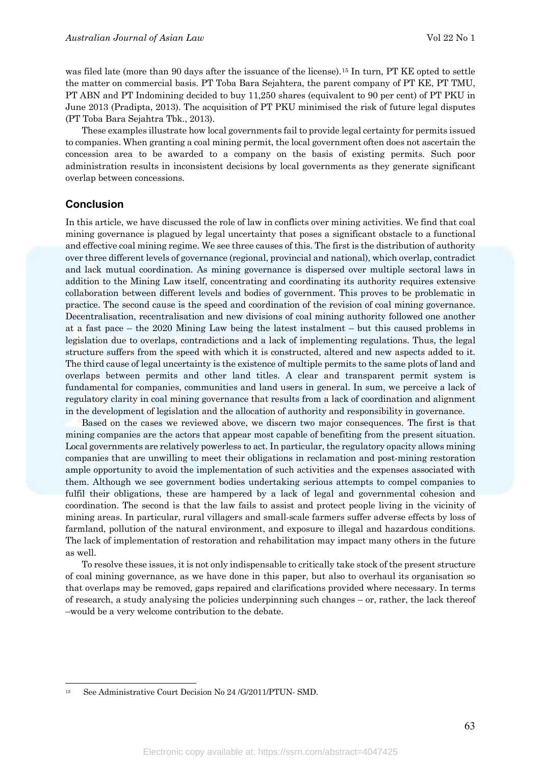was filed late (more than 90 days after the issuance of the license).<sup>[15](#page-11-0)</sup> In turn, PT KE opted to settle the matter on commercial basis. PT Toba Bara Sejahtera, the parent company of PT KE, PT TMU, PT ABN and PT Indomining decided to buy 11,250 shares (equivalent to 90 per cent) of PT PKU in June 2013 (Pradipta, 2013). The acquisition of PT PKU minimised the risk of future legal disputes (PT Toba Bara Sejahtra Tbk., 2013).

These examples illustrate how local governments fail to provide legal certainty for permits issued to companies. When granting a coal mining permit, the local government often does not ascertain the concession area to be awarded to a company on the basis of existing permits. Such poor administration results in inconsistent decisions by local governments as they generate significant overlap between concessions.

#### **Conclusion**

<u>.</u>

In this article, we have discussed the role of law in conflicts over mining activities. We find that coal mining governance is plagued by legal uncertainty that poses a significant obstacle to a functional and effective coal mining regime. We see three causes of this. The first is the distribution of authority over three different levels of governance (regional, provincial and national), which overlap, contradict and lack mutual coordination. As mining governance is dispersed over multiple sectoral laws in addition to the Mining Law itself, concentrating and coordinating its authority requires extensive collaboration between different levels and bodies of government. This proves to be problematic in practice. The second cause is the speed and coordination of the revision of coal mining governance. Decentralisation, recentralisation and new divisions of coal mining authority followed one another at a fast pace – the 2020 Mining Law being the latest instalment – but this caused problems in legislation due to overlaps, contradictions and a lack of implementing regulations. Thus, the legal structure suffers from the speed with which it is constructed, altered and new aspects added to it. The third cause of legal uncertainty is the existence of multiple permits to the same plots of land and overlaps between permits and other land titles. A clear and transparent permit system is fundamental for companies, communities and land users in general. In sum, we perceive a lack of regulatory clarity in coal mining governance that results from a lack of coordination and alignment in the development of legislation and the allocation of authority and responsibility in governance.

Based on the cases we reviewed above, we discern two major consequences. The first is that mining companies are the actors that appear most capable of benefiting from the present situation. Local governments are relatively powerless to act. In particular, the regulatory opacity allows mining companies that are unwilling to meet their obligations in reclamation and post-mining restoration ample opportunity to avoid the implementation of such activities and the expenses associated with them. Although we see government bodies undertaking serious attempts to compel companies to fulfil their obligations, these are hampered by a lack of legal and governmental cohesion and coordination. The second is that the law fails to assist and protect people living in the vicinity of mining areas. In particular, rural villagers and small-scale farmers suffer adverse effects by loss of farmland, pollution of the natural environment, and exposure to illegal and hazardous conditions. The lack of implementation of restoration and rehabilitation may impact many others in the future as well.

To resolve these issues, it is not only indispensable to critically take stock of the present structure of coal mining governance, as we have done in this paper, but also to overhaul its organisation so that overlaps may be removed, gaps repaired and clarifications provided where necessary. In terms of research, a study analysing the policies underpinning such changes – or, rather, the lack thereof –would be a very welcome contribution to the debate.

<span id="page-11-0"></span><sup>15</sup> See Administrative Court Decision No 24 /G/2011/PTUN- SMD.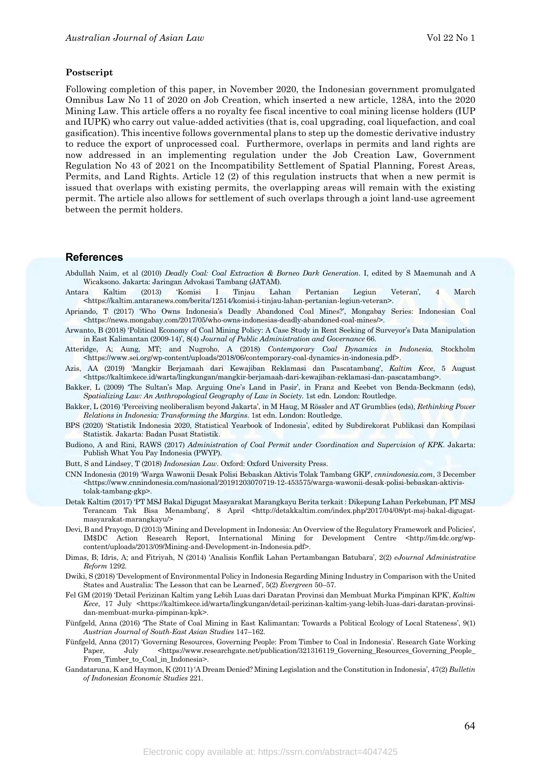#### **Postscript**

Following completion of this paper, in November 2020, the Indonesian government promulgated Omnibus Law No 11 of 2020 on Job Creation, which inserted a new article, 128A, into the 2020 Mining Law. This article offers a no royalty fee fiscal incentive to coal mining license holders (IUP and IUPK) who carry out value-added activities (that is, coal upgrading, coal liquefaction, and coal gasification). This incentive follows governmental plans to step up the domestic derivative industry to reduce the export of unprocessed coal. Furthermore, overlaps in permits and land rights are now addressed in an implementing regulation under the Job Creation Law, Government Regulation No 43 of 2021 on the Incompatibility Settlement of Spatial Planning, Forest Areas, Permits, and Land Rights. Article 12 (2) of this regulation instructs that when a new permit is issued that overlaps with existing permits, the overlapping areas will remain with the existing permit. The article also allows for settlement of such overlaps through a joint land-use agreement between the permit holders.

#### **References**

- Abdullah Naim, et al (2010) *Deadly Coal: Coal Extraction & Borneo Dark Generation*. I, edited by S Maemunah and A Wicaksono. Jakarta: Jaringan Advokasi Tambang (JATAM).
- Antara Kaltim (2013) 'Komisi I Tinjau Lahan Pertanian Legiun Veteran', 4 March <https://kaltim.antaranews.com/berita/12514/komisi-i-tinjau-lahan-pertanian-legiun-veteran>.
- Apriando, T (2017) 'Who Owns Indonesia's Deadly Abandoned Coal Mines?', Mongabay Series: Indonesian Coal <https://news.mongabay.com/2017/05/who-owns-indonesias-deadly-abandoned-coal-mines/>.
- Arwanto, B (2018) 'Political Economy of Coal Mining Policy: A Case Study in Rent Seeking of Surveyor's Data Manipulation in East Kalimantan (2009-14)', 8(4) *Journal of Public Administration and Governance* 66.
- Atteridge, A; Aung, MT; and Nugroho, A (2018) *Contemporary Coal Dynamics in Indonesia*. Stockholm <https://www.sei.org/wp-content/uploads/2018/06/contemporary-coal-dynamics-in-indonesia.pdf>.
- Azis, AA (2019) 'Mangkir Berjamaah dari Kewajiban Reklamasi dan Pascatambang', *Kaltim Kece*, 5 August <https://kaltimkece.id/warta/lingkungan/mangkir-berjamaah-dari-kewajiban-reklamasi-dan-pascatambang>.
- Bakker, L (2009) 'The Sultan's Map. Arguing One's Land in Pasir', in Franz and Keebet von Benda-Beckmann (eds), *Spatializing Law: An Anthropological Geography of Law in Society*. 1st edn. London: Routledge.
- Bakker, L (2016) 'Perceiving neoliberalism beyond Jakarta', in M Haug, M Rössler and AT Grumblies (eds), *Rethinking Power Relations in Indonesia: Transforming the Margins*. 1st edn. London: Routledge.
- BPS (2020) 'Statistik Indonesia 2020, Statistical Yearbook of Indonesia', edited by Subdirekorat Publikasi dan Kompilasi Statistik. Jakarta: Badan Pusat Statistik.
- Budiono, A and Rini, RAWS (2017) *Administration of Coal Permit under Coordination and Supervision of KPK*. Jakarta: Publish What You Pay Indonesia (PWYP).
- Butt, S and Lindsey, T (2018) *Indonesian Law*. Oxford: Oxford University Press.
- CNN Indonesia (2019) 'Warga Wawonii Desak Polisi Bebaskan Aktivis Tolak Tambang GKP', *cnnindonesia.com*, 3 December  $\lt$ https://www.cnnindonesia.com/nasional/20191203070719-12-453575/warga-wawonii-desak-polisi-bebaskan-aktivistolak-tambang-gkp>.
- Detak Kaltim (2017) 'PT MSJ Bakal Digugat Masyarakat Marangkayu Berita terkait: Dikepung Lahan Perkebunan, PT MSJ Terancam Tak Bisa Menambang', 8 April <http://detakkaltim.com/index.php/2017/04/08/pt-msj-bakal-digugatmasyarakat-marangkayu/>
- Devi, B and Prayogo, D (2013) 'Mining and Development in Indonesia: An Overview of the Regulatory Framework and Policies', IM\$DC Action Research Report, International Mining for Development Centre <http://im4dc.org/wpcontent/uploads/2013/09/Mining-and-Development-in-Indonesia.pdf>.
- Dimas, B; Idris, A; and Fitriyah, N (2014) 'Analisis Konflik Lahan Pertambangan Batubara', 2(2) *eJournal Administrative Reform* 1292.
- Dwiki, S (2018) 'Development of Environmental Policy in Indonesia Regarding Mining Industry in Comparison with the United States and Australia: The Lesson that can be Learned', 5(2) *Evergreen* 50–57.
- Fel GM (2019) 'Detail Perizinan Kaltim yang Lebih Luas dari Daratan Provinsi dan Membuat Murka Pimpinan KPK', *Kaltim Kece*, 17 July <https://kaltimkece.id/warta/lingkungan/detail-perizinan-kaltim-yang-lebih-luas-dari-daratan-provinsidan-membuat-murka-pimpinan-kpk>.
- Fünfgeld, Anna (2016) 'The State of Coal Mining in East Kalimantan: Towards a Political Ecology of Local Stateness', 9(1) *Austrian Journal of South-East Asian Studies* 147–162.
- Fünfgeld, Anna (2017) 'Governing Resources, Governing People: From Timber to Coal in Indonesia'. Research Gate Working Paper, July <https://www.researchgate.net/publication/321316119\_Governing\_Resources\_Governing\_People\_ From\_Timber\_to\_Coal\_in\_Indonesia>.
- Gandataruna, K and Haymon, K (2011) 'A Dream Denied? Mining Legislation and the Constitution in Indonesia', 47(2) *Bulletin of Indonesian Economic Studies* 221.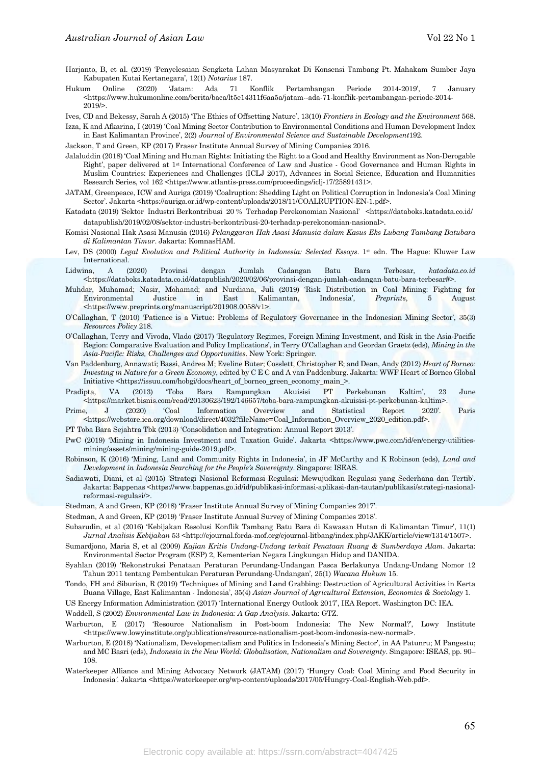- Harjanto, B, et al. (2019) 'Penyelesaian Sengketa Lahan Masyarakat Di Konsensi Tambang Pt. Mahakam Sumber Jaya Kabupaten Kutai Kertanegara', 12(1) *Notarius* 187.
- Hukum Online (2020) 'Jatam: Ada 71 Konflik Pertambangan Periode 2014-2019', 7 January <https://www.hukumonline.com/berita/baca/lt5e14311f6aa5a/jatam--ada-71-konflik-pertambangan-periode-2014- 2019/>.

Ives, CD and Bekessy, Sarah A (2015) 'The Ethics of Offsetting Nature', 13(10) *Frontiers in Ecology and the Environment* 568.

Izza, K and Afkarina, I (2019) 'Coal Mining Sector Contribution to Environmental Conditions and Human Development Index in East Kalimantan Province', 2(2) *Journal of Environmental Science and Sustainable Development*192.

Jackson, T and Green, KP (2017) Fraser Institute Annual Survey of Mining Companies 2016.

- Jalaluddin (2018) 'Coal Mining and Human Rights: Initiating the Right to a Good and Healthy Environment as Non-Derogable Right', paper delivered at 1st International Conference of Law and Justice - Good Governance and Human Rights in Muslim Countries: Experiences and Challenges (ICLJ 2017), Advances in Social Science, Education and Humanities Research Series, vol 162 <https://www.atlantis-press.com/proceedings/iclj-17/25891431>.
- JATAM, Greenpeace, ICW and Auriga (2019) 'Coalruption: Shedding Light on Political Corruption in Indonesia's Coal Mining Sector'. Jakarta <https://auriga.or.id/wp-content/uploads/2018/11/COALRUPTION-EN-1.pdf>.
- Katadata (2019) 'Sektor Industri Berkontribusi 20 % Terhadap Perekonomian Nasional' <https://databoks.katadata.co.id/ datapublish/2019/02/08/sektor-industri-berkontribusi-20-terhadap-perekonomian-nasional>.
- Komisi Nasional Hak Asasi Manusia (2016) *Pelanggaran Hak Asasi Manusia dalam Kasus Eks Lubang Tambang Batubara di Kalimantan Timur*. Jakarta: KomnasHAM.
- Lev, DS (2000) *Legal Evolution and Political Authority in Indonesia: Selected Essays*. 1<sup>st</sup> edn. The Hague: Kluwer Law International.
- Lidwina, A (2020) Provinsi dengan Jumlah Cadangan Batu Bara Terbesar, *katadata.co.id* <https://databoks.katadata.co.id/datapublish/2020/02/06/provinsi-dengan-jumlah-cadangan-batu-bara-terbesar#>.
- Muhdar, Muhamad; Nasir, Mohamad; and Nurdiana, Juli (2019) 'Risk Distribution in Coal Mining: Fighting for Environmental Justice in East Kalimantan, Indonesia', *Preprints*, 5 August <https://www.preprints.org/manuscript/201908.0058/v1>.
- O'Callaghan, T (2010) 'Patience is a Virtue: Problems of Regulatory Governance in the Indonesian Mining Sector', 35(3) *Resources Policy* 218.
- O'Callaghan, Terry and Vivoda, Vlado (2017) 'Regulatory Regimes, Foreign Mining Investment, and Risk in the Asia-Pacific Region: Comparative Evaluation and Policy Implications', in Terry O'Callaghan and Geordan Graetz (eds), *Mining in the Asia-Pacific: Risks, Challenges and Opportunities*. New York: Springer.
- Van Paddenburg, Annawati; Bassi, Andrea M; Eveline Buter; Cosslett, Christopher E; and Dean, Andy (2012) *Heart of Borneo: Investing in Nature for a Green Economy*, edited by C E C and A van Paddenburg. Jakarta: WWF Heart of Borneo Global Initiative <https://issuu.com/hobgi/docs/heart\_of\_borneo\_green\_economy\_main\_>.
- Pradipta, VA (2013) 'Toba Bara Rampungkan Akuisisi PT Perkebunan Kaltim', 23 June <https://market.bisnis.com/read/20130623/192/146657/toba-bara-rampungkan-akuisisi-pt-perkebunan-kaltim>.
- Prime, J (2020) 'Coal Information Overview and Statistical Report 2020'. Paris <https://webstore.iea.org/download/direct/4032?fileName=Coal\_Information\_Overview\_2020\_edition.pdf>.
- PT Toba Bara Sejahtra Tbk (2013) 'Consolidation and Integration: Annual Report 2013'.
- PwC (2019) 'Mining in Indonesia Investment and Taxation Guide'. Jakarta <https://www.pwc.com/id/en/energy-utilitiesmining/assets/mining/mining-guide-2019.pdf>.
- Robinson, K (2016) 'Mining, Land and Community Rights in Indonesia', in JF McCarthy and K Robinson (eds), *Land and Development in Indonesia Searching for the People's Sovereignty*. Singapore: ISEAS.
- Sadiawati, Diani, et al (2015) 'Strategi Nasional Reformasi Regulasi: Mewujudkan Regulasi yang Sederhana dan Tertib'. Jakarta: Bappenas <https://www.bappenas.go.id/id/publikasi-informasi-aplikasi-dan-tautan/publikasi/strategi-nasionalreformasi-regulasi/>.
- Stedman, A and Green, KP (2018) 'Fraser Institute Annual Survey of Mining Companies 2017'.
- Stedman, A and Green, KP (2019) 'Fraser Institute Annual Survey of Mining Companies 2018'.
- Subarudin, et al (2016) 'Kebijakan Resolusi Konflik Tambang Batu Bara di Kawasan Hutan di Kalimantan Timur', 11(1) *Jurnal Analisis Kebijakan* 53 <http://ejournal.forda-mof.org/ejournal-litbang/index.php/JAKK/article/view/1314/1507>.
- Sumardjono, Maria S, et al (2009) *Kajian Kritis Undang-Undang terkait Penataan Ruang & Sumberdaya Alam*. Jakarta: Environmental Sector Program (ESP) 2, Kementerian Negara Lingkungan Hidup and DANIDA.
- Syahlan (2019) 'Rekonstruksi Penataan Peraturan Perundang-Undangan Pasca Berlakunya Undang-Undang Nomor 12 Tahun 2011 tentang Pembentukan Peraturan Perundang-Undangan', 25(1) *Wacana Hukum* 15.
- Tondo, FH and Siburian, R (2019) 'Techniques of Mining and Land Grabbing: Destruction of Agricultural Activities in Kerta Buana Village, East Kalimantan - Indonesia', 35(4) *Asian Journal of Agricultural Extension*, *Economics & Sociology* 1.

US Energy Information Administration (2017) 'International Energy Outlook 2017', IEA Report. Washington DC: IEA.

Waddell, S (2002) *Environmental Law in Indonesia: A Gap Analysis*. Jakarta: GTZ.

- Warburton, E (2017) 'Resource Nationalism in Post-boom Indonesia: The New Normal?', Lowy Institute <https://www.lowyinstitute.org/publications/resource-nationalism-post-boom-indonesia-new-normal>.
- Warburton, E (2018) 'Nationalism, Developmentalism and Politics in Indonesia's Mining Sector', in AA Patunru; M Pangestu; and MC Basri (eds), *Indonesia in the New World: Globalisation, Nationalism and Sovereignty*. Singapore: ISEAS, pp. 90– 108.
- Waterkeeper Alliance and Mining Advocacy Network (JATAM) (2017) 'Hungry Coal: Coal Mining and Food Security in Indonesia*'*. Jakarta <https://waterkeeper.org/wp-content/uploads/2017/05/Hungry-Coal-English-Web.pdf>.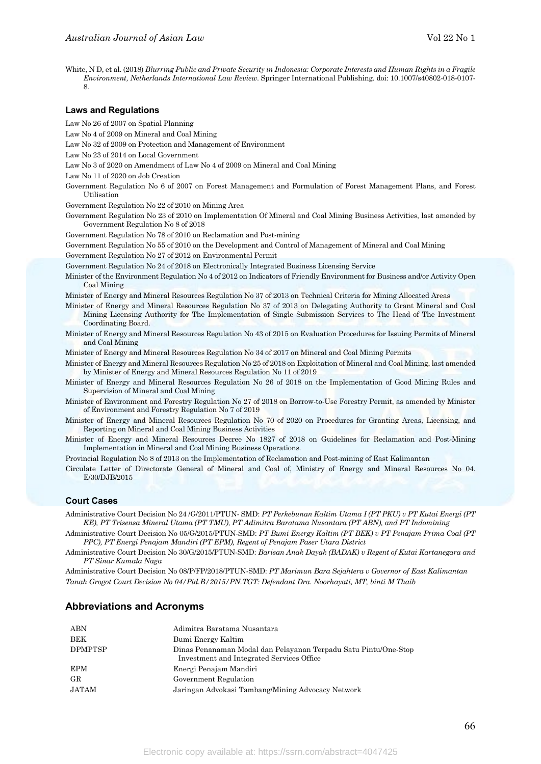White, N D, et al. (2018) *Blurring Public and Private Security in Indonesia: Corporate Interests and Human Rights in a Fragile Environment, Netherlands International Law Review*. Springer International Publishing. doi: 10.1007/s40802-018-0107- 8.

#### **Laws and Regulations**

Law No 26 of 2007 on Spatial Planning

Law No 4 of 2009 on Mineral and Coal Mining

Law No 32 of 2009 on Protection and Management of Environment

Law No 23 of 2014 on Local Government

Law No 3 of 2020 on Amendment of Law No 4 of 2009 on Mineral and Coal Mining

Law No 11 of 2020 on Job Creation

Government Regulation No 6 of 2007 on Forest Management and Formulation of Forest Management Plans, and Forest Utilisation

Government Regulation No 22 of 2010 on Mining Area

Government Regulation No 23 of 2010 on Implementation Of Mineral and Coal Mining Business Activities, last amended by Government Regulation No 8 of 2018

Government Regulation No 78 of 2010 on Reclamation and Post-mining

Government Regulation No 55 of 2010 on the Development and Control of Management of Mineral and Coal Mining

Government Regulation No 27 of 2012 on Environmental Permit

Government Regulation No 24 of 2018 on Electronically Integrated Business Licensing Service

Minister of the Environment Regulation No 4 of 2012 on Indicators of Friendly Environment for Business and/or Activity Open Coal Mining

Minister of Energy and Mineral Resources Regulation No 37 of 2013 on Technical Criteria for Mining Allocated Areas

- Minister of Energy and Mineral Resources Regulation No 37 of 2013 on Delegating Authority to Grant Mineral and Coal Mining Licensing Authority for The Implementation of Single Submission Services to The Head of The Investment Coordinating Board.
- Minister of Energy and Mineral Resources Regulation No 43 of 2015 on Evaluation Procedures for Issuing Permits of Mineral and Coal Mining

Minister of Energy and Mineral Resources Regulation No 34 of 2017 on Mineral and Coal Mining Permits

Minister of Energy and Mineral Resources Regulation No 25 of 2018 on Exploitation of Mineral and Coal Mining, last amended by Minister of Energy and Mineral Resources Regulation No 11 of 2019

Minister of Energy and Mineral Resources Regulation No 26 of 2018 on the Implementation of Good Mining Rules and Supervision of Mineral and Coal Mining

Minister of Environment and Forestry Regulation No 27 of 2018 on Borrow-to-Use Forestry Permit, as amended by Minister of Environment and Forestry Regulation No 7 of 2019

Minister of Energy and Mineral Resources Regulation No 70 of 2020 on Procedures for Granting Areas, Licensing, and Reporting on Mineral and Coal Mining Business Activities

Minister of Energy and Mineral Resources Decree No 1827 of 2018 on Guidelines for Reclamation and Post-Mining Implementation in Mineral and Coal Mining Business Operations.

Provincial Regulation No 8 of 2013 on the Implementation of Reclamation and Post-mining of East Kalimantan

Circulate Letter of Directorate General of Mineral and Coal of, Ministry of Energy and Mineral Resources No 04. E/30/DJB/2015

#### **Court Cases**

Administrative Court Decision No 24 /G/2011/PTUN- SMD: *PT Perkebunan Kaltim Utama I (PT PKU) v PT Kutai Energi (PT KE), PT Trisensa Mineral Utama (PT TMU), PT Adimitra Baratama Nusantara (PT ABN), and PT Indomining* 

Administrative Court Decision No 05/G/2015/PTUN-SMD: *PT Bumi Energy Kaltim (PT BEK) v PT Penajam Prima Coal (PT PPC), PT Energi Penajam Mandiri (PT EPM), Regent of Penajam Paser Utara District*

Administrative Court Decision No 30/G/2015/PTUN-SMD: *Barisan Anak Dayak (BADAK) v Regent of Kutai Kartanegara and PT Sinar Kumala Naga* 

Administrative Court Decision No 08/P/FP/2018/PTUN-SMD: *PT Marimun Bara Sejahtera v Governor of East Kalimantan Tanah Grogot Court Decision No 04/Pid.B/2015/PN.TGT: Defendant Dra. Noorhayati, MT, binti M Thaib* 

#### **Abbreviations and Acronyms**

| ABN            | Adimitra Baratama Nusantara                                                                                  |
|----------------|--------------------------------------------------------------------------------------------------------------|
| BEK            | Bumi Energy Kaltim                                                                                           |
| <b>DPMPTSP</b> | Dinas Penanaman Modal dan Pelayanan Terpadu Satu Pintu/One-Stop<br>Investment and Integrated Services Office |
| <b>EPM</b>     | Energi Penajam Mandiri                                                                                       |
| $_{\rm GR}$    | Government Regulation                                                                                        |
| JATAM          | Jaringan Advokasi Tambang/Mining Advocacy Network                                                            |